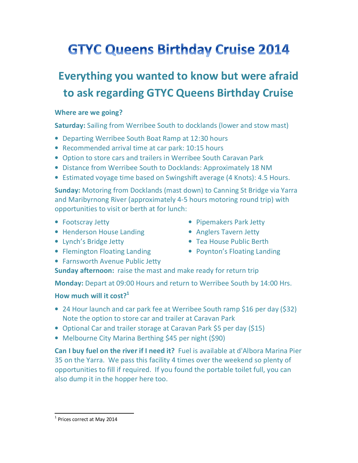# **GTYC Queens Birthday Cruise 2014**

## **Everything you wanted to know but were afraid to ask regarding GTYC Queens Birthday Cruise**

#### **Where are we going?**

**Saturday:** Sailing from Werribee South to docklands (lower and stow mast)

- Departing Werribee South Boat Ramp at 12:30 hours
- Recommended arrival time at car park: 10:15 hours
- Option to store cars and trailers in Werribee South Caravan Park
- Distance from Werribee South to Docklands: Approximately 18 NM
- Estimated voyage time based on Swingshift average (4 Knots): 4.5 Hours.

**Sunday:** Motoring from Docklands (mast down) to Canning St Bridge via Yarra and Maribyrnong River (approximately 4-5 hours motoring round trip) with opportunities to visit or berth at for lunch:

- Footscray Jetty
- Henderson House Landing
- Lynch's Bridge Jetty
- Flemington Floating Landing
- Farnsworth Avenue Public Jetty
- Pipemakers Park Jetty
- Anglers Tavern Jetty
- Tea House Public Berth
- Poynton's Floating Landing

**Sunday afternoon:** raise the mast and make ready for return trip

**Monday:** Depart at 09:00 Hours and return to Werribee South by 14:00 Hrs.

#### **How much will it cost?<sup>1</sup>**

- 24 Hour launch and car park fee at Werribee South ramp \$16 per day (\$32) Note the option to store car and trailer at Caravan Park
- Optional Car and trailer storage at Caravan Park \$5 per day (\$15)
- Melbourne City Marina Berthing \$45 per night (\$90)

**Can I buy fuel on the river if I need it?** Fuel is available at d'Albora Marina Pier 35 on the Yarra. We pass this facility 4 times over the weekend so plenty of opportunities to fill if required. If you found the portable toilet full, you can also dump it in the hopper here too.

<sup>1</sup>  $<sup>1</sup>$  Prices correct at May 2014</sup>